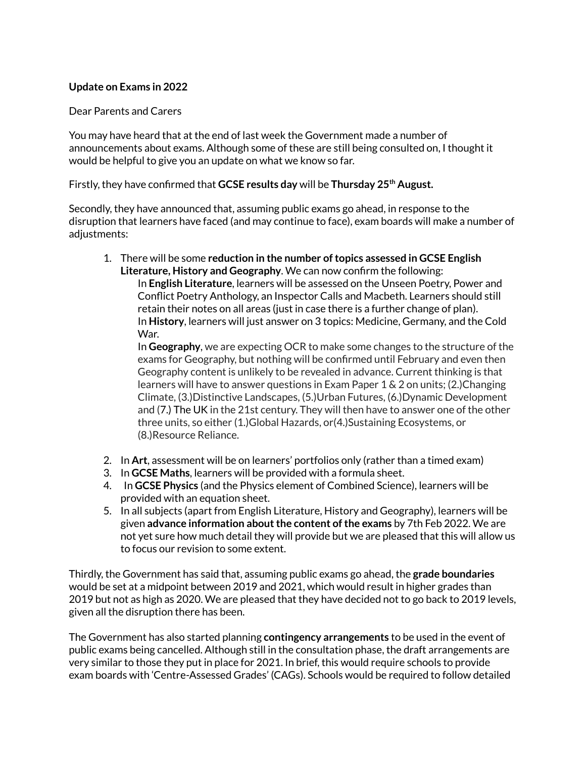## **Update on Exams in 2022**

## Dear Parents and Carers

You may have heard that at the end of last week the Government made a number of announcements about exams. Although some of these are still being consulted on, I thought it would be helpful to give you an update on what we know so far.

Firstly, they have confirmed that **GCSE results day** will be **Thursday 25 th August.**

Secondly, they have announced that, assuming public exams go ahead, in response to the disruption that learners have faced (and may continue to face), exam boards will make a number of adjustments:

1. There will be some **reduction in the number oftopics assessed in GCSE English Literature, History and Geography**. We can now confirm the following: In **English Literature**, learners will be assessed on the Unseen Poetry, Power and Conflict Poetry Anthology, an Inspector Calls and Macbeth. Learners should still retain their notes on all areas (just in case there is a further change of plan). In **History**, learners will just answer on 3 topics: Medicine, Germany, and the Cold

War. In **Geography**, we are expecting OCR to make some changes to the structure of the exams for Geography, but nothing will be confirmed until February and even then Geography content is unlikely to be revealed in advance. Current thinking is that learners will have to answer questions in Exam Paper 1 & 2 on units; (2.)Changing Climate, (3.)Distinctive Landscapes, (5.)Urban Futures, (6.)Dynamic Development and (7.) [The](http://7.uk/) UK in the 21st century. They will then have to answer one of the other three units, so either (1.)Global Hazards, or(4.)Sustaining Ecosystems, or (8.)Resource Reliance.

- 2. In **Art**, assessment will be on learners' portfolios only (rather than a timed exam)
- 3. In **GCSE Maths**, learners will be provided with a formula sheet.
- 4. In **GCSE Physics** (and the Physics element of Combined Science), learners will be provided with an equation sheet.
- 5. In all subjects (apart from English Literature, History and Geography), learners will be given **advance information aboutthe content ofthe exams** by 7th Feb 2022. We are not yet sure how much detail they will provide but we are pleased that this will allow us to focus our revision to some extent.

Thirdly, the Government has said that, assuming public exams go ahead, the **grade boundaries** would be set at a midpoint between 2019 and 2021, which would result in higher grades than 2019 but not as high as 2020. We are pleased that they have decided not to go back to 2019 levels, given all the disruption there has been.

The Government has also started planning **contingency arrangements** to be used in the event of public exams being cancelled. Although still in the consultation phase, the draft arrangements are very similar to those they put in place for 2021. In brief, this would require schools to provide exam boards with 'Centre-Assessed Grades' (CAGs). Schools would be required to follow detailed